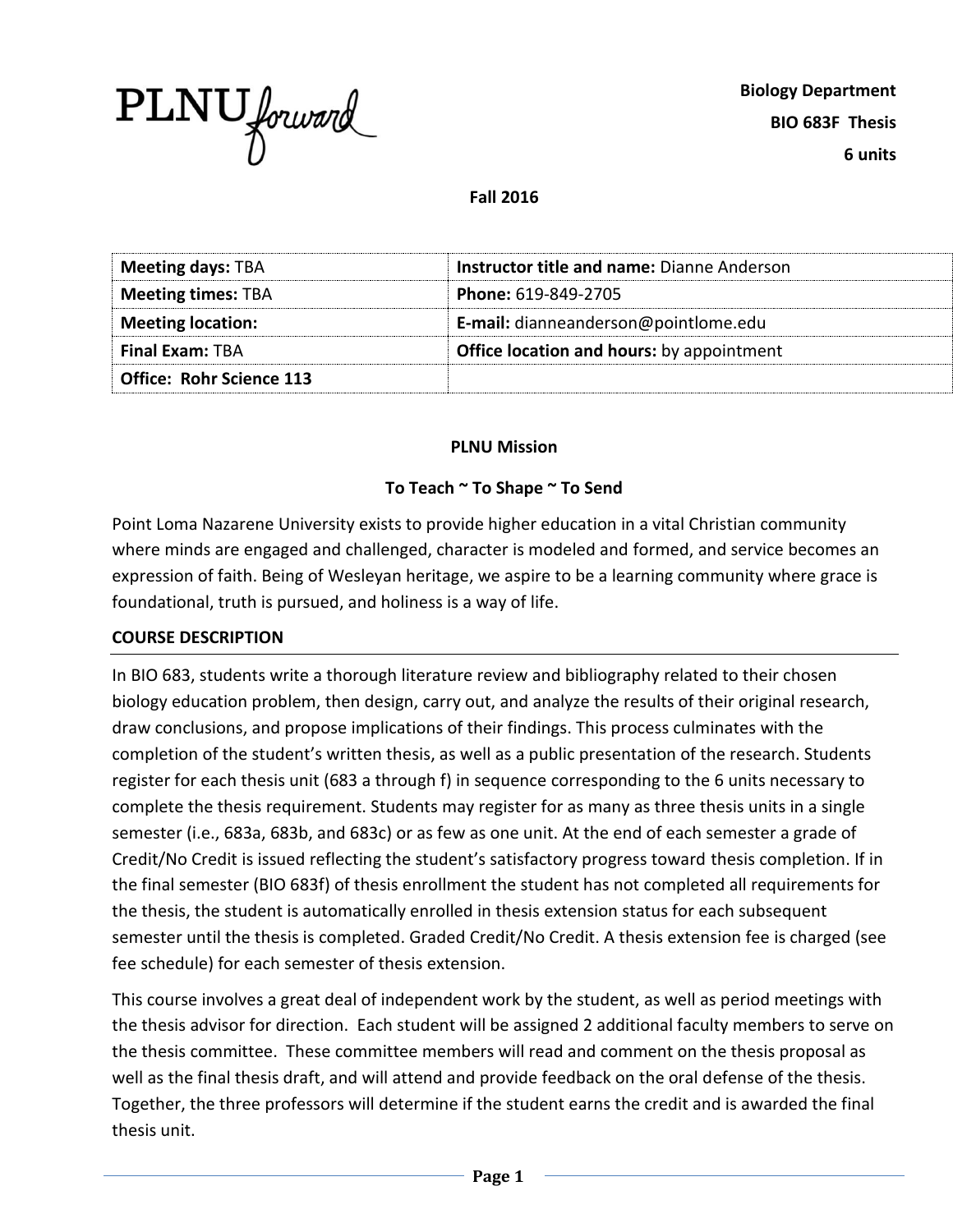

### **Fall 2016**

| <b>Meeting days: TBA</b>        | Instructor title and name: Dianne Anderson       |
|---------------------------------|--------------------------------------------------|
| <b>Meeting times: TBA</b>       | Phone: 619-849-2705                              |
| <b>Meeting location:</b>        | E-mail: dianneanderson@pointlome.edu             |
| <b>Final Exam: TBA</b>          | <b>Office location and hours:</b> by appointment |
| <b>Office: Rohr Science 113</b> |                                                  |

#### **PLNU Mission**

### **To Teach ~ To Shape ~ To Send**

Point Loma Nazarene University exists to provide higher education in a vital Christian community where minds are engaged and challenged, character is modeled and formed, and service becomes an expression of faith. Being of Wesleyan heritage, we aspire to be a learning community where grace is foundational, truth is pursued, and holiness is a way of life.

### **COURSE DESCRIPTION**

In BIO 683, students write a thorough literature review and bibliography related to their chosen biology education problem, then design, carry out, and analyze the results of their original research, draw conclusions, and propose implications of their findings. This process culminates with the completion of the student's written thesis, as well as a public presentation of the research. Students register for each thesis unit (683 a through f) in sequence corresponding to the 6 units necessary to complete the thesis requirement. Students may register for as many as three thesis units in a single semester (i.e., 683a, 683b, and 683c) or as few as one unit. At the end of each semester a grade of Credit/No Credit is issued reflecting the student's satisfactory progress toward thesis completion. If in the final semester (BIO 683f) of thesis enrollment the student has not completed all requirements for the thesis, the student is automatically enrolled in thesis extension status for each subsequent semester until the thesis is completed. Graded Credit/No Credit. A thesis extension fee is charged (see fee schedule) for each semester of thesis extension.

This course involves a great deal of independent work by the student, as well as period meetings with the thesis advisor for direction. Each student will be assigned 2 additional faculty members to serve on the thesis committee. These committee members will read and comment on the thesis proposal as well as the final thesis draft, and will attend and provide feedback on the oral defense of the thesis. Together, the three professors will determine if the student earns the credit and is awarded the final thesis unit.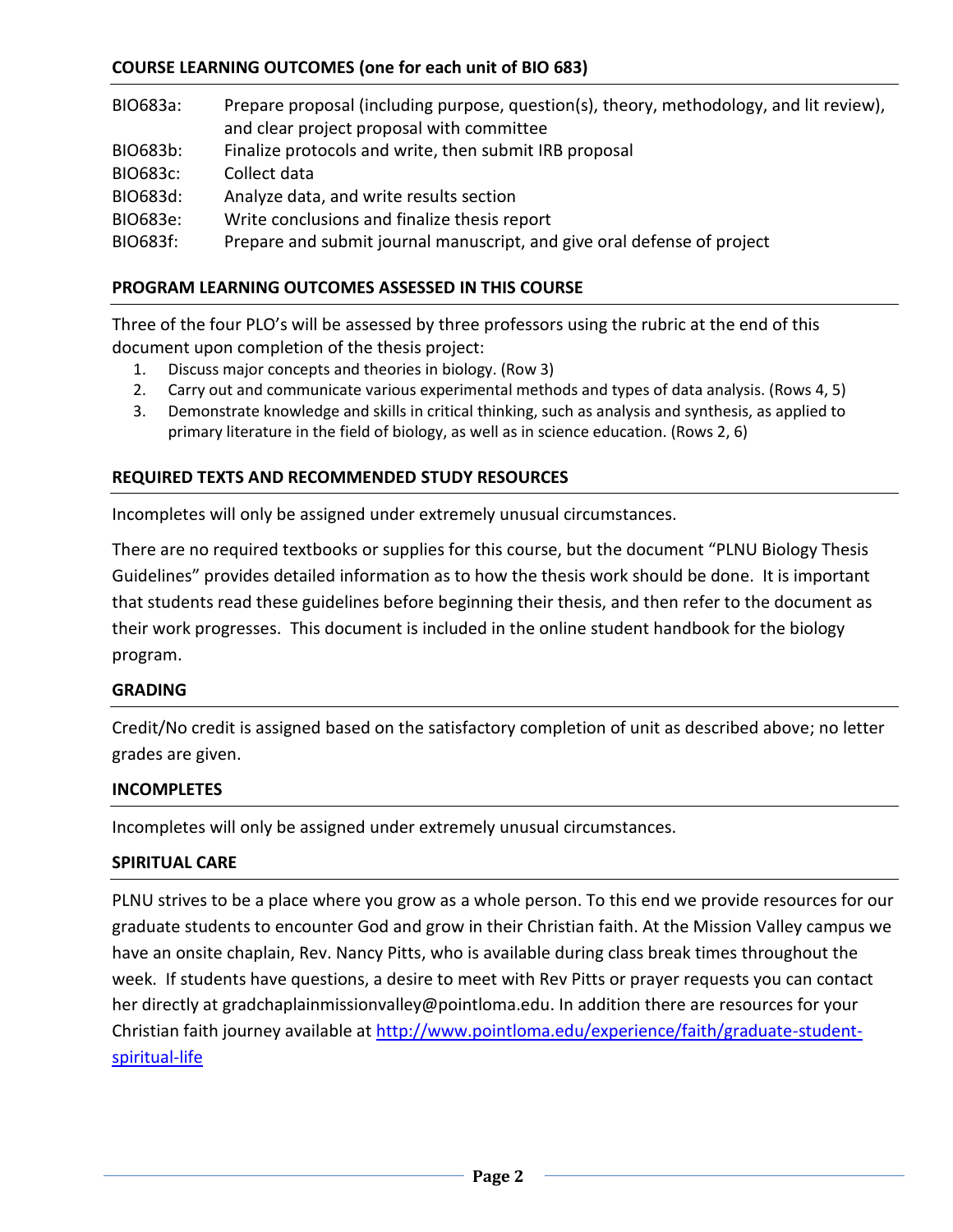# **COURSE LEARNING OUTCOMES (one for each unit of BIO 683)**

| BIO683a: | Prepare proposal (including purpose, question(s), theory, methodology, and lit review),<br>and clear project proposal with committee |
|----------|--------------------------------------------------------------------------------------------------------------------------------------|
| BIO683b: | Finalize protocols and write, then submit IRB proposal                                                                               |
| BIO683c: | Collect data                                                                                                                         |
| BIO683d: | Analyze data, and write results section                                                                                              |
| BIO683e: | Write conclusions and finalize thesis report                                                                                         |
| BIO683f: | Prepare and submit journal manuscript, and give oral defense of project                                                              |

### **PROGRAM LEARNING OUTCOMES ASSESSED IN THIS COURSE**

Three of the four PLO's will be assessed by three professors using the rubric at the end of this document upon completion of the thesis project:

- 1. Discuss major concepts and theories in biology. (Row 3)
- 2. Carry out and communicate various experimental methods and types of data analysis. (Rows 4, 5)
- 3. Demonstrate knowledge and skills in critical thinking, such as analysis and synthesis, as applied to primary literature in the field of biology, as well as in science education. (Rows 2, 6)

#### **REQUIRED TEXTS AND RECOMMENDED STUDY RESOURCES**

Incompletes will only be assigned under extremely unusual circumstances.

There are no required textbooks or supplies for this course, but the document "PLNU Biology Thesis Guidelines" provides detailed information as to how the thesis work should be done. It is important that students read these guidelines before beginning their thesis, and then refer to the document as their work progresses. This document is included in the online student handbook for the biology program.

#### **GRADING**

Credit/No credit is assigned based on the satisfactory completion of unit as described above; no letter grades are given.

#### **INCOMPLETES**

Incompletes will only be assigned under extremely unusual circumstances.

#### **SPIRITUAL CARE**

PLNU strives to be a place where you grow as a whole person. To this end we provide resources for our graduate students to encounter God and grow in their Christian faith. At the Mission Valley campus we have an onsite chaplain, Rev. Nancy Pitts, who is available during class break times throughout the week. If students have questions, a desire to meet with Rev Pitts or prayer requests you can contact her directly at [gradchaplainmissionvalley@pointloma.edu.](mailto:gradchaplainmissionvalley@pointloma.edu) In addition there are resources for your Christian faith journey available at [http://www.pointloma.edu/experience/faith/graduate-student](http://www.pointloma.edu/experience/faith/graduate-student-spiritual-life)[spiritual-life](http://www.pointloma.edu/experience/faith/graduate-student-spiritual-life)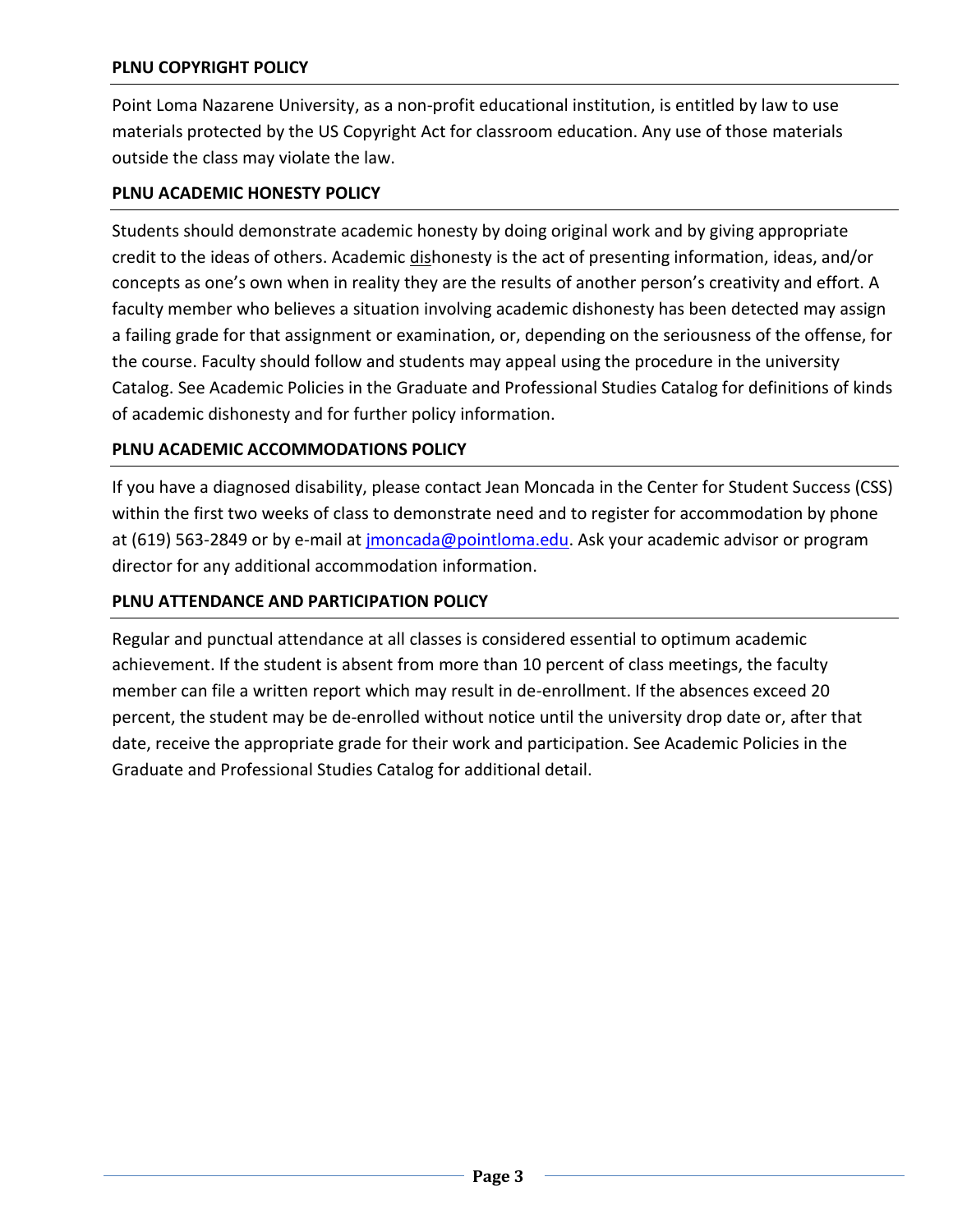# **PLNU COPYRIGHT POLICY**

Point Loma Nazarene University, as a non-profit educational institution, is entitled by law to use materials protected by the US Copyright Act for classroom education. Any use of those materials outside the class may violate the law.

# **PLNU ACADEMIC HONESTY POLICY**

Students should demonstrate academic honesty by doing original work and by giving appropriate credit to the ideas of others. Academic dishonesty is the act of presenting information, ideas, and/or concepts as one's own when in reality they are the results of another person's creativity and effort. A faculty member who believes a situation involving academic dishonesty has been detected may assign a failing grade for that assignment or examination, or, depending on the seriousness of the offense, for the course. Faculty should follow and students may appeal using the procedure in the university Catalog. See Academic Policies in the Graduate and Professional Studies Catalog for definitions of kinds of academic dishonesty and for further policy information.

## **PLNU ACADEMIC ACCOMMODATIONS POLICY**

If you have a diagnosed disability, please contact Jean Moncada in the Center for Student Success (CSS) within the first two weeks of class to demonstrate need and to register for accommodation by phone at (619) 563-2849 or by e-mail at [jmoncada@pointloma.edu.](mailto:jmoncada@pointloma.edu) Ask your academic advisor or program director for any additional accommodation information.

## **PLNU ATTENDANCE AND PARTICIPATION POLICY**

Regular and punctual attendance at all classes is considered essential to optimum academic achievement. If the student is absent from more than 10 percent of class meetings, the faculty member can file a written report which may result in de-enrollment. If the absences exceed 20 percent, the student may be de-enrolled without notice until the university drop date or, after that date, receive the appropriate grade for their work and participation. See Academic Policies in the Graduate and Professional Studies Catalog for additional detail.